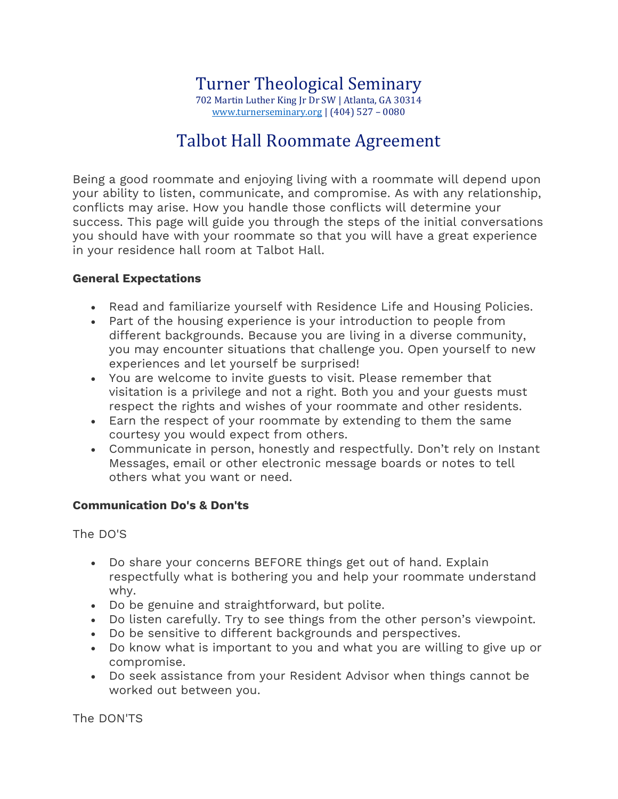## Talbot Hall Roommate Agreement

Being a good roommate and enjoying living with a roommate will depend upon your ability to listen, communicate, and compromise. As with any relationship, conflicts may arise. How you handle those conflicts will determine your success. This page will guide you through the steps of the initial conversations you should have with your roommate so that you will have a great experience in your residence hall room at Talbot Hall.

## **General Expectations**

- Read and familiarize yourself with Residence Life and Housing Policies.
- Part of the housing experience is your introduction to people from different backgrounds. Because you are living in a diverse community, you may encounter situations that challenge you. Open yourself to new experiences and let yourself be surprised!
- You are welcome to invite guests to visit. Please remember that visitation is a privilege and not a right. Both you and your guests must respect the rights and wishes of your roommate and other residents.
- Earn the respect of your roommate by extending to them the same courtesy you would expect from others.
- Communicate in person, honestly and respectfully. Don't rely on Instant Messages, email or other electronic message boards or notes to tell others what you want or need.

## **Communication Do's & Don'ts**

The DO'S

- Do share your concerns BEFORE things get out of hand. Explain respectfully what is bothering you and help your roommate understand why.
- Do be genuine and straightforward, but polite.
- Do listen carefully. Try to see things from the other person's viewpoint.
- Do be sensitive to different backgrounds and perspectives.
- Do know what is important to you and what you are willing to give up or compromise.
- Do seek assistance from your Resident Advisor when things cannot be worked out between you.

The DON'TS